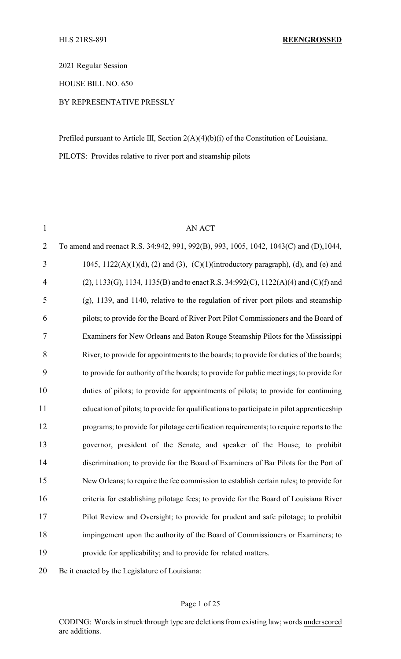2021 Regular Session

HOUSE BILL NO. 650

### BY REPRESENTATIVE PRESSLY

Prefiled pursuant to Article III, Section 2(A)(4)(b)(i) of the Constitution of Louisiana. PILOTS: Provides relative to river port and steamship pilots

| $\mathbf{1}$   | <b>AN ACT</b>                                                                             |
|----------------|-------------------------------------------------------------------------------------------|
| $\overline{2}$ | To amend and reenact R.S. 34:942, 991, 992(B), 993, 1005, 1042, 1043(C) and (D), 1044,    |
| 3              | 1045, $1122(A)(1)(d)$ , (2) and (3), (C)(1)(introductory paragraph), (d), and (e) and     |
| 4              | $(2)$ , 1133(G), 1134, 1135(B) and to enact R.S. 34:992(C), 1122(A)(4) and (C)(f) and     |
| 5              | $(g)$ , 1139, and 1140, relative to the regulation of river port pilots and steamship     |
| 6              | pilots; to provide for the Board of River Port Pilot Commissioners and the Board of       |
| $\overline{7}$ | Examiners for New Orleans and Baton Rouge Steamship Pilots for the Mississippi            |
| 8              | River; to provide for appointments to the boards; to provide for duties of the boards;    |
| 9              | to provide for authority of the boards; to provide for public meetings; to provide for    |
| 10             | duties of pilots; to provide for appointments of pilots; to provide for continuing        |
| 11             | education of pilots; to provide for qualifications to participate in pilot apprenticeship |
| 12             | programs; to provide for pilotage certification requirements; to require reports to the   |
| 13             | governor, president of the Senate, and speaker of the House; to prohibit                  |
| 14             | discrimination; to provide for the Board of Examiners of Bar Pilots for the Port of       |
| 15             | New Orleans; to require the fee commission to establish certain rules; to provide for     |
| 16             | criteria for establishing pilotage fees; to provide for the Board of Louisiana River      |
| 17             | Pilot Review and Oversight; to provide for prudent and safe pilotage; to prohibit         |
| 18             | impingement upon the authority of the Board of Commissioners or Examiners; to             |
| 19             | provide for applicability; and to provide for related matters.                            |
|                |                                                                                           |

Be it enacted by the Legislature of Louisiana:

#### Page 1 of 25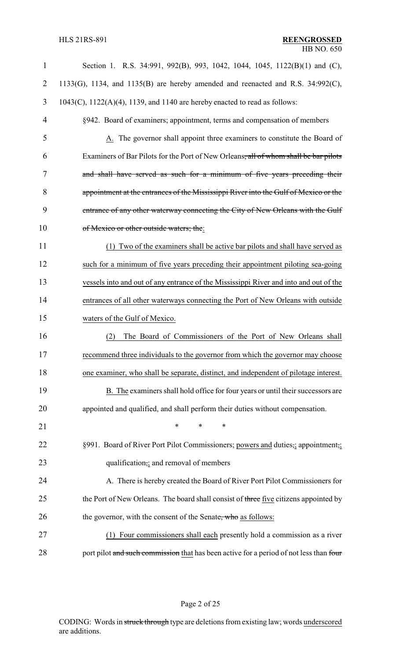| $\mathbf{1}$   | Section 1. R.S. 34:991, 992(B), 993, 1042, 1044, 1045, 1122(B)(1) and (C),                       |
|----------------|--------------------------------------------------------------------------------------------------|
| $\overline{2}$ | 1133(G), 1134, and 1135(B) are hereby amended and reenacted and R.S. $34:992(C)$ ,               |
| 3              | $1043(C)$ , $1122(A)(4)$ , 1139, and 1140 are hereby enacted to read as follows:                 |
| $\overline{4}$ | §942. Board of examiners; appointment, terms and compensation of members                         |
| 5              | A. The governor shall appoint three examiners to constitute the Board of                         |
| 6              | Examiners of Bar Pilots for the Port of New Orleans <del>, all of whom shall be bar pilots</del> |
| 7              | and shall have served as such for a minimum of five years preceding their                        |
| 8              | appointment at the entrances of the Mississippi River into the Gulf of Mexico or the             |
| 9              | entrance of any other waterway connecting the City of New Orleans with the Gulf                  |
| 10             | of Mexico or other outside waters; the:                                                          |
| 11             | (1) Two of the examiners shall be active bar pilots and shall have served as                     |
| 12             | such for a minimum of five years preceding their appointment piloting sea-going                  |
| 13             | vessels into and out of any entrance of the Mississippi River and into and out of the            |
| 14             | entrances of all other waterways connecting the Port of New Orleans with outside                 |
| 15             | waters of the Gulf of Mexico.                                                                    |
| 16             | The Board of Commissioners of the Port of New Orleans shall<br>(2)                               |
| 17             | recommend three individuals to the governor from which the governor may choose                   |
| 18             | one examiner, who shall be separate, distinct, and independent of pilotage interest.             |
| 19             | B. The examiners shall hold office for four years or until their successors are                  |
| 20             | appointed and qualified, and shall perform their duties without compensation.                    |
| 21             | $\ast$<br>*<br>$\ast$                                                                            |
| 22             | §991. Board of River Port Pilot Commissioners; powers and duties,; appointment,;                 |
| 23             | qualification,; and removal of members                                                           |
| 24             | A. There is hereby created the Board of River Port Pilot Commissioners for                       |
| 25             | the Port of New Orleans. The board shall consist of three five citizens appointed by             |
| 26             | the governor, with the consent of the Senate, who as follows:                                    |
| 27             | Four commissioners shall each presently hold a commission as a river                             |
| 28             | port pilot and such commission that has been active for a period of not less than four           |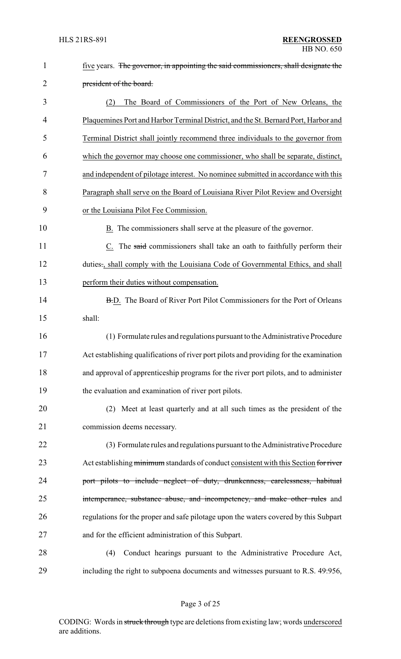| $\mathbf{1}$ | five years. The governor, in appointing the said commissioners, shall designate the    |
|--------------|----------------------------------------------------------------------------------------|
| 2            | president of the board.                                                                |
| 3            | The Board of Commissioners of the Port of New Orleans, the<br>(2)                      |
| 4            | Plaquemines Port and Harbor Terminal District, and the St. Bernard Port, Harbor and    |
| 5            | Terminal District shall jointly recommend three individuals to the governor from       |
| 6            | which the governor may choose one commissioner, who shall be separate, distinct,       |
| 7            | and independent of pilotage interest. No nominee submitted in accordance with this     |
| 8            | Paragraph shall serve on the Board of Louisiana River Pilot Review and Oversight       |
| 9            | or the Louisiana Pilot Fee Commission.                                                 |
| 10           | B. The commissioners shall serve at the pleasure of the governor.                      |
| 11           | C. The said commissioners shall take an oath to faithfully perform their               |
| 12           | duties., shall comply with the Louisiana Code of Governmental Ethics, and shall        |
| 13           | perform their duties without compensation.                                             |
| 14           | B.D. The Board of River Port Pilot Commissioners for the Port of Orleans               |
| 15           | shall:                                                                                 |
| 16           | (1) Formulate rules and regulations pursuant to the Administrative Procedure           |
| 17           | Act establishing qualifications of river port pilots and providing for the examination |
| 18           | and approval of apprenticeship programs for the river port pilots, and to administer   |
| 19           | the evaluation and examination of river port pilots.                                   |
| 20           | (2) Meet at least quarterly and at all such times as the president of the              |
| 21           | commission deems necessary.                                                            |
| 22           | (3) Formulate rules and regulations pursuant to the Administrative Procedure           |
| 23           | Act establishing minimum standards of conduct consistent with this Section for river   |
| 24           | port pilots to include neglect of duty, drunkenness, carelessness, habitual            |
| 25           | intemperance, substance abuse, and incompetency, and make other rules and              |
| 26           | regulations for the proper and safe pilotage upon the waters covered by this Subpart   |
| 27           | and for the efficient administration of this Subpart.                                  |
| 28           | (4)<br>Conduct hearings pursuant to the Administrative Procedure Act,                  |
| 29           | including the right to subpoena documents and witnesses pursuant to R.S. 49:956,       |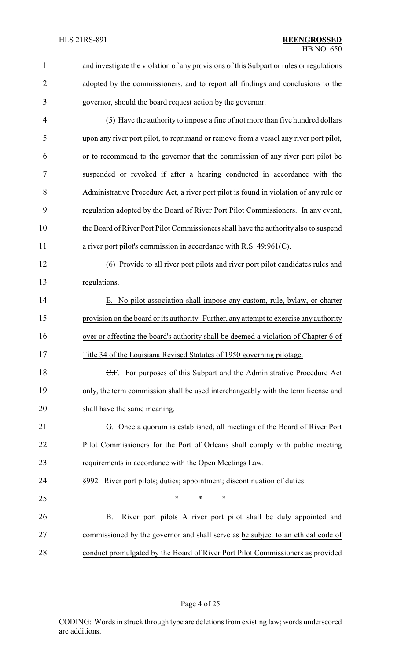| 1              | and investigate the violation of any provisions of this Subpart or rules or regulations |
|----------------|-----------------------------------------------------------------------------------------|
| $\overline{2}$ | adopted by the commissioners, and to report all findings and conclusions to the         |
| 3              | governor, should the board request action by the governor.                              |
| 4              | (5) Have the authority to impose a fine of not more than five hundred dollars           |
| 5              | upon any river port pilot, to reprimand or remove from a vessel any river port pilot,   |
| 6              | or to recommend to the governor that the commission of any river port pilot be          |
| 7              | suspended or revoked if after a hearing conducted in accordance with the                |
| 8              | Administrative Procedure Act, a river port pilot is found in violation of any rule or   |
| 9              | regulation adopted by the Board of River Port Pilot Commissioners. In any event,        |
| 10             | the Board of River Port Pilot Commissioners shall have the authority also to suspend    |
| 11             | a river port pilot's commission in accordance with R.S. 49:961(C).                      |
| 12             | (6) Provide to all river port pilots and river port pilot candidates rules and          |
| 13             | regulations.                                                                            |
| 14             | E. No pilot association shall impose any custom, rule, bylaw, or charter                |
| 15             | provision on the board or its authority. Further, any attempt to exercise any authority |
| 16             | over or affecting the board's authority shall be deemed a violation of Chapter 6 of     |
| 17             | Title 34 of the Louisiana Revised Statutes of 1950 governing pilotage.                  |
| 18             | E.F. For purposes of this Subpart and the Administrative Procedure Act                  |
| 19             | only, the term commission shall be used interchangeably with the term license and       |
| 20             | shall have the same meaning.                                                            |
| 21             | G. Once a quorum is established, all meetings of the Board of River Port                |
| 22             | Pilot Commissioners for the Port of Orleans shall comply with public meeting            |
| 23             | requirements in accordance with the Open Meetings Law.                                  |
| 24             | §992. River port pilots; duties; appointment; discontinuation of duties                 |
| 25             | $\ast$<br>*<br>*                                                                        |
| 26             | River port pilots A river port pilot shall be duly appointed and<br><b>B.</b>           |
| $27\,$         | commissioned by the governor and shall serve as be subject to an ethical code of        |
| 28             | conduct promulgated by the Board of River Port Pilot Commissioners as provided          |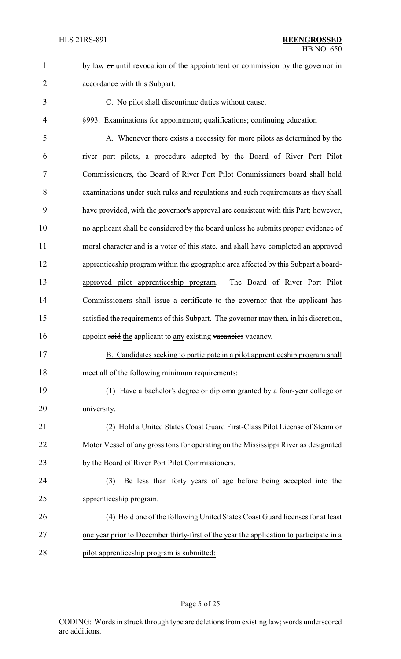

 no applicant shall be considered by the board unless he submits proper evidence of 11 moral character and is a voter of this state, and shall have completed an approved 12 apprenticeship program within the geographic area affected by this Subpart a board- approved pilot apprenticeship program. The Board of River Port Pilot Commissioners shall issue a certificate to the governor that the applicant has satisfied the requirements of this Subpart. The governor may then, in his discretion, 16 appoint said the applicant to any existing vacancies vacancy.

1 by law  $\sigma$  until revocation of the appointment or commission by the governor in

- B. Candidates seeking to participate in a pilot apprenticeship program shall 18 meet all of the following minimum requirements:
- (1) Have a bachelor's degree or diploma granted by a four-year college or university.
- (2) Hold a United States Coast Guard First-Class Pilot License of Steam or Motor Vessel of any gross tons for operating on the Mississippi River as designated by the Board of River Port Pilot Commissioners.
- (3) Be less than forty years of age before being accepted into the apprenticeship program.
- (4) Hold one of the following United States Coast Guard licenses for at least 27 one year prior to December thirty-first of the year the application to participate in a pilot apprenticeship program is submitted: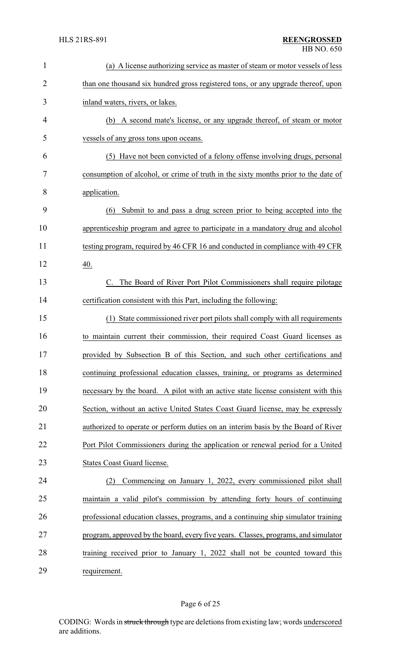| $\mathbf{1}$   | (a) A license authorizing service as master of steam or motor vessels of less      |
|----------------|------------------------------------------------------------------------------------|
| $\overline{2}$ | than one thousand six hundred gross registered tons, or any upgrade thereof, upon  |
| 3              | inland waters, rivers, or lakes.                                                   |
| 4              | A second mate's license, or any upgrade thereof, of steam or motor<br>(b)          |
| 5              | vessels of any gross tons upon oceans.                                             |
| 6              | (5) Have not been convicted of a felony offense involving drugs, personal          |
| 7              | consumption of alcohol, or crime of truth in the sixty months prior to the date of |
| 8              | application.                                                                       |
| 9              | Submit to and pass a drug screen prior to being accepted into the<br>(6)           |
| 10             | apprenticeship program and agree to participate in a mandatory drug and alcohol    |
| 11             | testing program, required by 46 CFR 16 and conducted in compliance with 49 CFR     |
| 12             | 40.                                                                                |
| 13             | C. The Board of River Port Pilot Commissioners shall require pilotage              |
| 14             | certification consistent with this Part, including the following:                  |
| 15             | (1) State commissioned river port pilots shall comply with all requirements        |
| 16             | to maintain current their commission, their required Coast Guard licenses as       |
| 17             | provided by Subsection B of this Section, and such other certifications and        |
| 18             | continuing professional education classes, training, or programs as determined     |
| 19             | necessary by the board. A pilot with an active state license consistent with this  |
| 20             | Section, without an active United States Coast Guard license, may be expressly     |
| 21             | authorized to operate or perform duties on an interim basis by the Board of River  |
| 22             | Port Pilot Commissioners during the application or renewal period for a United     |
| 23             | <b>States Coast Guard license.</b>                                                 |
| 24             | Commencing on January 1, 2022, every commissioned pilot shall<br>(2)               |
| 25             | maintain a valid pilot's commission by attending forty hours of continuing         |
| 26             | professional education classes, programs, and a continuing ship simulator training |
| 27             | program, approved by the board, every five years. Classes, programs, and simulator |
| 28             | training received prior to January 1, 2022 shall not be counted toward this        |
| 29             | requirement.                                                                       |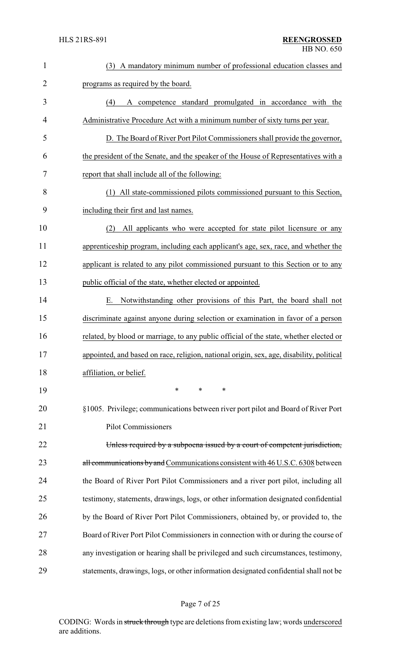| $\mathbf{1}$   | (3) A mandatory minimum number of professional education classes and                     |
|----------------|------------------------------------------------------------------------------------------|
| 2              | programs as required by the board.                                                       |
| 3              | A competence standard promulgated in accordance with the<br>(4)                          |
| $\overline{4}$ | Administrative Procedure Act with a minimum number of sixty turns per year.              |
| 5              | D. The Board of River Port Pilot Commissioners shall provide the governor,               |
| 6              | the president of the Senate, and the speaker of the House of Representatives with a      |
| 7              | report that shall include all of the following:                                          |
| 8              | (1) All state-commissioned pilots commissioned pursuant to this Section,                 |
| 9              | including their first and last names.                                                    |
| 10             | All applicants who were accepted for state pilot licensure or any<br>(2)                 |
| 11             | apprenticeship program, including each applicant's age, sex, race, and whether the       |
| 12             | applicant is related to any pilot commissioned pursuant to this Section or to any        |
| 13             | public official of the state, whether elected or appointed.                              |
| 14             | Notwithstanding other provisions of this Part, the board shall not<br>Е.                 |
| 15             | discriminate against anyone during selection or examination in favor of a person         |
| 16             | related, by blood or marriage, to any public official of the state, whether elected or   |
| 17             | appointed, and based on race, religion, national origin, sex, age, disability, political |
| 18             | affiliation, or belief.                                                                  |
| 19             | *<br>$\ast$<br>∗                                                                         |
| 20             | §1005. Privilege; communications between river port pilot and Board of River Port        |
| 21             | <b>Pilot Commissioners</b>                                                               |
| 22             | Unless required by a subpoena issued by a court of competent jurisdiction,               |
| 23             | all communications by and Communications consistent with 46 U.S.C. 6308 between          |
| 24             | the Board of River Port Pilot Commissioners and a river port pilot, including all        |
| 25             | testimony, statements, drawings, logs, or other information designated confidential      |
| 26             | by the Board of River Port Pilot Commissioners, obtained by, or provided to, the         |
| 27             | Board of River Port Pilot Commissioners in connection with or during the course of       |
| 28             | any investigation or hearing shall be privileged and such circumstances, testimony,      |
| 29             | statements, drawings, logs, or other information designated confidential shall not be    |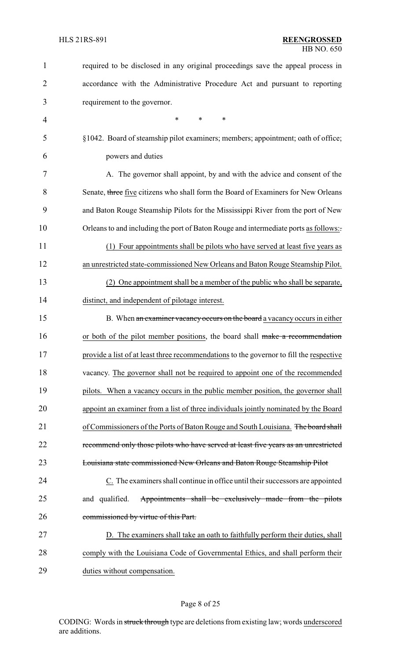| 1              | required to be disclosed in any original proceedings save the appeal process in         |
|----------------|-----------------------------------------------------------------------------------------|
| $\overline{2}$ | accordance with the Administrative Procedure Act and pursuant to reporting              |
| 3              | requirement to the governor.                                                            |
| 4              | $\ast$<br>∗<br>$\ast$                                                                   |
| 5              | §1042. Board of steamship pilot examiners; members; appointment; oath of office;        |
| 6              | powers and duties                                                                       |
| 7              | A. The governor shall appoint, by and with the advice and consent of the                |
| 8              | Senate, three five citizens who shall form the Board of Examiners for New Orleans       |
| 9              | and Baton Rouge Steamship Pilots for the Mississippi River from the port of New         |
| 10             | Orleans to and including the port of Baton Rouge and intermediate ports as follows:     |
| 11             | (1) Four appointments shall be pilots who have served at least five years as            |
| 12             | an unrestricted state-commissioned New Orleans and Baton Rouge Steamship Pilot.         |
| 13             | (2) One appointment shall be a member of the public who shall be separate,              |
| 14             | distinct, and independent of pilotage interest.                                         |
| 15             | B. When an examiner vacancy occurs on the board a vacancy occurs in either              |
| 16             | or both of the pilot member positions, the board shall make a recommendation            |
| 17             | provide a list of at least three recommendations to the governor to fill the respective |
| 18             | vacancy. The governor shall not be required to appoint one of the recommended           |
| 19             | pilots. When a vacancy occurs in the public member position, the governor shall         |
| 20             | appoint an examiner from a list of three individuals jointly nominated by the Board     |
| 21             | of Commissioners of the Ports of Baton Rouge and South Louisiana. The board shall       |
| 22             | recommend only those pilots who have served at least five years as an unrestricted      |
| 23             | Louisiana state commissioned New Orleans and Baton Rouge Steamship Pilot                |
| 24             | C. The examiners shall continue in office until their successors are appointed          |
| 25             | Appointments shall be exclusively made from the pilots<br>and qualified.                |
| 26             | commissioned by virtue of this Part.                                                    |
| 27             | D. The examiners shall take an oath to faithfully perform their duties, shall           |
| 28             | comply with the Louisiana Code of Governmental Ethics, and shall perform their          |
| 29             | duties without compensation.                                                            |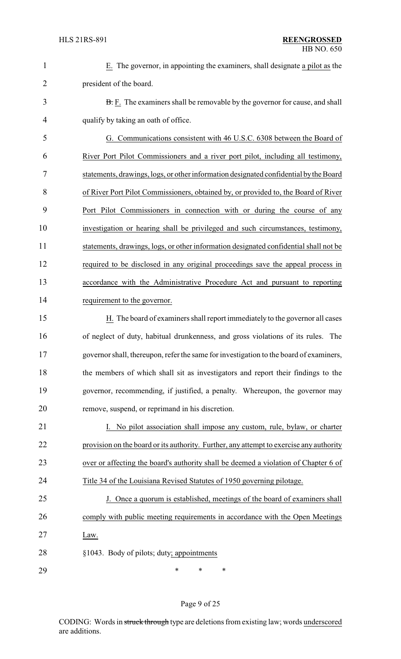| i. |  |  |  |
|----|--|--|--|
|    |  |  |  |
|    |  |  |  |
|    |  |  |  |
|    |  |  |  |
|    |  |  |  |

 E. The governor, in appointing the examiners, shall designate a pilot as the president of the board.

3 B. F. The examiners shall be removable by the governor for cause, and shall qualify by taking an oath of office.

 G. Communications consistent with 46 U.S.C. 6308 between the Board of River Port Pilot Commissioners and a river port pilot, including all testimony, statements, drawings, logs, or other information designated confidential bythe Board of River Port Pilot Commissioners, obtained by, or provided to, the Board of River Port Pilot Commissioners in connection with or during the course of any investigation or hearing shall be privileged and such circumstances, testimony, statements, drawings, logs, or other information designated confidential shall not be required to be disclosed in any original proceedings save the appeal process in accordance with the Administrative Procedure Act and pursuant to reporting requirement to the governor.

 H. The board of examiners shall report immediately to the governor all cases of neglect of duty, habitual drunkenness, and gross violations of its rules. The governor shall, thereupon, refer the same for investigation to the board of examiners, the members of which shall sit as investigators and report their findings to the governor, recommending, if justified, a penalty. Whereupon, the governor may remove, suspend, or reprimand in his discretion.

21 I. No pilot association shall impose any custom, rule, bylaw, or charter provision on the board or its authority. Further, any attempt to exercise any authority 23 over or affecting the board's authority shall be deemed a violation of Chapter 6 of Title 34 of the Louisiana Revised Statutes of 1950 governing pilotage.

 J. Once a quorum is established, meetings of the board of examiners shall comply with public meeting requirements in accordance with the Open Meetings Law.

§1043. Body of pilots; duty; appointments

\* \* \*

#### Page 9 of 25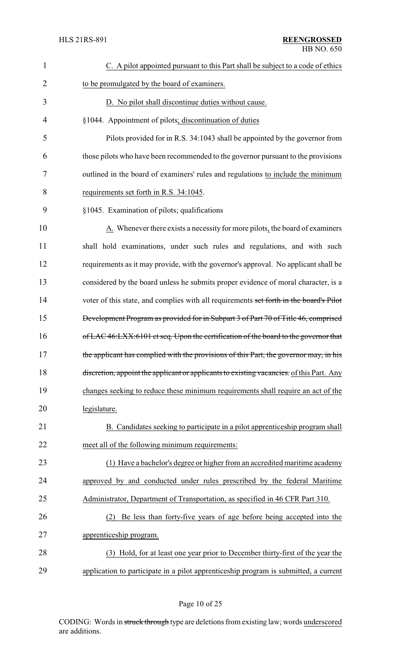| 1              | C. A pilot appointed pursuant to this Part shall be subject to a code of ethics             |
|----------------|---------------------------------------------------------------------------------------------|
| $\overline{2}$ | to be promulgated by the board of examiners.                                                |
| 3              | D. No pilot shall discontinue duties without cause.                                         |
| 4              | §1044. Appointment of pilots; discontinuation of duties                                     |
| 5              | Pilots provided for in R.S. 34:1043 shall be appointed by the governor from                 |
| 6              | those pilots who have been recommended to the governor pursuant to the provisions           |
| 7              | outlined in the board of examiners' rules and regulations to include the minimum            |
| 8              | requirements set forth in R.S. 34:1045.                                                     |
| 9              | §1045. Examination of pilots; qualifications                                                |
| 10             | $\underline{A}$ . Whenever there exists a necessity for more pilots, the board of examiners |
| 11             | shall hold examinations, under such rules and regulations, and with such                    |
| 12             | requirements as it may provide, with the governor's approval. No applicant shall be         |
| 13             | considered by the board unless he submits proper evidence of moral character, is a          |
| 14             | voter of this state, and complies with all requirements set forth in the board's Pilot      |
| 15             | Development Program as provided for in Subpart 3 of Part 70 of Title 46, comprised          |
| 16             | of LAC 46:LXX:6101 et seq. Upon the certification of the board to the governor that         |
| 17             | the applicant has complied with the provisions of this Part, the governor may, in his       |
| 18             | discretion, appoint the applicant or applicants to existing vacancies. of this Part. Any    |
| 19             | changes seeking to reduce these minimum requirements shall require an act of the            |
| 20             | legislature.                                                                                |
| 21             | B. Candidates seeking to participate in a pilot apprenticeship program shall                |
| 22             | meet all of the following minimum requirements:                                             |
| 23             | (1) Have a bachelor's degree or higher from an accredited maritime academy                  |
| 24             | approved by and conducted under rules prescribed by the federal Maritime                    |
| 25             | Administrator, Department of Transportation, as specified in 46 CFR Part 310.               |
| 26             | Be less than forty-five years of age before being accepted into the<br>(2)                  |
| 27             | apprenticeship program.                                                                     |
| 28             | (3) Hold, for at least one year prior to December thirty-first of the year the              |
| 29             | application to participate in a pilot apprenticeship program is submitted, a current        |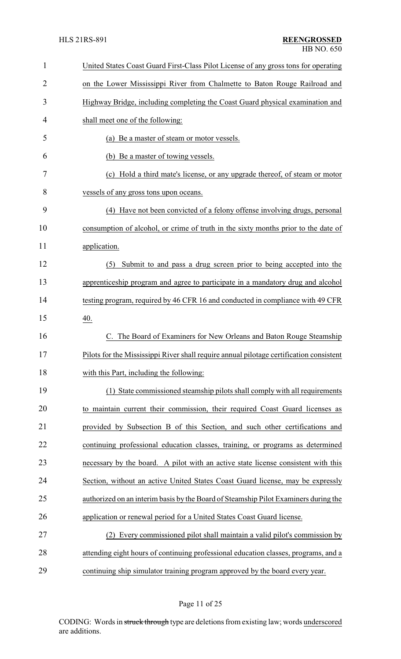| 1  | United States Coast Guard First-Class Pilot License of any gross tons for operating     |
|----|-----------------------------------------------------------------------------------------|
| 2  | on the Lower Mississippi River from Chalmette to Baton Rouge Railroad and               |
| 3  | Highway Bridge, including completing the Coast Guard physical examination and           |
| 4  | shall meet one of the following:                                                        |
| 5  | (a) Be a master of steam or motor vessels.                                              |
| 6  | (b) Be a master of towing vessels.                                                      |
| 7  | (c) Hold a third mate's license, or any upgrade thereof, of steam or motor              |
| 8  | vessels of any gross tons upon oceans.                                                  |
| 9  | (4) Have not been convicted of a felony offense involving drugs, personal               |
| 10 | consumption of alcohol, or crime of truth in the sixty months prior to the date of      |
| 11 | application.                                                                            |
| 12 | Submit to and pass a drug screen prior to being accepted into the<br>(5)                |
| 13 | apprenticeship program and agree to participate in a mandatory drug and alcohol         |
| 14 | testing program, required by 46 CFR 16 and conducted in compliance with 49 CFR          |
| 15 | 40.                                                                                     |
| 16 | The Board of Examiners for New Orleans and Baton Rouge Steamship                        |
| 17 | Pilots for the Mississippi River shall require annual pilotage certification consistent |
| 18 | with this Part, including the following:                                                |
| 19 | (1) State commissioned steamship pilots shall comply with all requirements              |
| 20 | to maintain current their commission, their required Coast Guard licenses as            |
| 21 | provided by Subsection B of this Section, and such other certifications and             |
| 22 | continuing professional education classes, training, or programs as determined          |
| 23 | necessary by the board. A pilot with an active state license consistent with this       |
| 24 | Section, without an active United States Coast Guard license, may be expressly          |
| 25 | authorized on an interim basis by the Board of Steamship Pilot Examiners during the     |
| 26 | application or renewal period for a United States Coast Guard license.                  |
| 27 | Every commissioned pilot shall maintain a valid pilot's commission by                   |
| 28 | attending eight hours of continuing professional education classes, programs, and a     |
| 29 | continuing ship simulator training program approved by the board every year.            |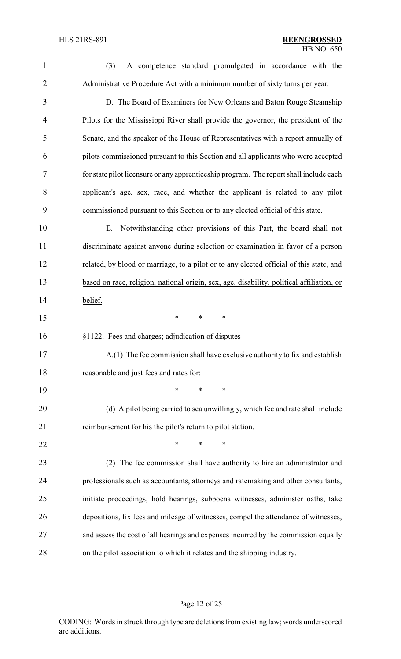| $\mathbf{1}$   | competence standard promulgated in accordance with the<br>(3)<br>A                        |
|----------------|-------------------------------------------------------------------------------------------|
| $\overline{2}$ | Administrative Procedure Act with a minimum number of sixty turns per year.               |
| 3              | D. The Board of Examiners for New Orleans and Baton Rouge Steamship                       |
| 4              | Pilots for the Mississippi River shall provide the governor, the president of the         |
| 5              | Senate, and the speaker of the House of Representatives with a report annually of         |
| 6              | pilots commissioned pursuant to this Section and all applicants who were accepted         |
| 7              | for state pilot licensure or any apprenticeship program. The report shall include each    |
| 8              | applicant's age, sex, race, and whether the applicant is related to any pilot             |
| 9              | commissioned pursuant to this Section or to any elected official of this state.           |
| 10             | Notwithstanding other provisions of this Part, the board shall not<br>Е.                  |
| 11             | discriminate against anyone during selection or examination in favor of a person          |
| 12             | related, by blood or marriage, to a pilot or to any elected official of this state, and   |
| 13             | based on race, religion, national origin, sex, age, disability, political affiliation, or |
| 14             | belief.                                                                                   |
| 15             | *<br>$\ast$<br>∗                                                                          |
| 16             | §1122. Fees and charges; adjudication of disputes                                         |
| 17             | A.(1) The fee commission shall have exclusive authority to fix and establish              |
| 18             | reasonable and just fees and rates for:                                                   |
| 19             | $\ast$<br>∗<br>∗                                                                          |
| 20             | (d) A pilot being carried to sea unwillingly, which fee and rate shall include            |
| 21             | reimbursement for his the pilot's return to pilot station.                                |
| 22             | *<br>*<br>∗                                                                               |
| 23             | (2) The fee commission shall have authority to hire an administrator and                  |
| 24             | professionals such as accountants, attorneys and ratemaking and other consultants,        |
| 25             | initiate proceedings, hold hearings, subpoena witnesses, administer oaths, take           |
| 26             | depositions, fix fees and mileage of witnesses, compel the attendance of witnesses,       |
| 27             | and assess the cost of all hearings and expenses incurred by the commission equally       |
| 28             | on the pilot association to which it relates and the shipping industry.                   |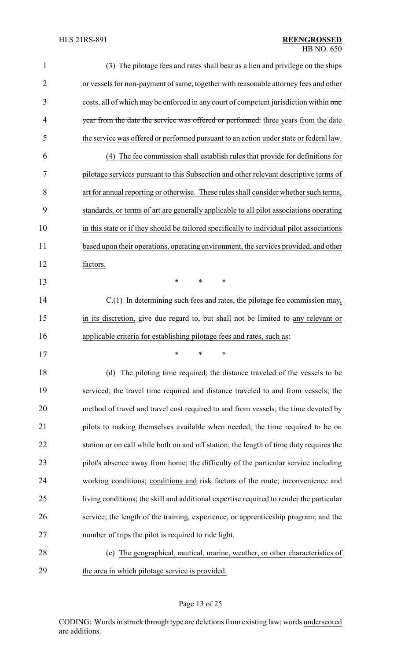| $\mathbf{1}$   | (3) The pilotage fees and rates shall bear as a lien and privilege on the ships           |
|----------------|-------------------------------------------------------------------------------------------|
| $\overline{2}$ | or vessels for non-payment of same, together with reasonable attorney fees and other      |
| 3              | costs, all of which may be enforced in any court of competent jurisdiction within one     |
| 4              | year from the date the service was offered or performed. three years from the date        |
| 5              | the service was offered or performed pursuant to an action under state or federal law.    |
| 6              | (4) The fee commission shall establish rules that provide for definitions for             |
| 7              | pilotage services pursuant to this Subsection and other relevant descriptive terms of     |
| 8              | art for annual reporting or otherwise. These rules shall consider whether such terms,     |
| 9              | standards, or terms of art are generally applicable to all pilot associations operating   |
| 10             | in this state or if they should be tailored specifically to individual pilot associations |
| 11             | based upon their operations, operating environment, the services provided, and other      |
| 12             | factors.                                                                                  |
| 13             | ∗<br>$\ast$<br>∗                                                                          |
| 14             | $C(1)$ In determining such fees and rates, the pilotage fee commission may,               |
| 15             | in its discretion, give due regard to, but shall not be limited to any relevant or        |
| 16             | applicable criteria for establishing pilotage fees and rates, such as:                    |
| 17             |                                                                                           |
| 18             | (d) The piloting time required; the distance traveled of the vessels to be                |
| 19             | serviced; the travel time required and distance traveled to and from vessels; the         |
| 20             | method of travel and travel cost required to and from vessels; the time devoted by        |
| 21             | pilots to making themselves available when needed; the time required to be on             |
| 22             | station or on call while both on and off station; the length of time duty requires the    |
| 23             | pilot's absence away from home; the difficulty of the particular service including        |
| 24             | working conditions; conditions and risk factors of the route; inconvenience and           |
| 25             | living conditions; the skill and additional expertise required to render the particular   |
| 26             | service; the length of the training, experience, or apprenticeship program; and the       |
| 27             | number of trips the pilot is required to ride light.                                      |
| 28             | (e) The geographical, nautical, marine, weather, or other characteristics of              |
| 29             | the area in which pilotage service is provided.                                           |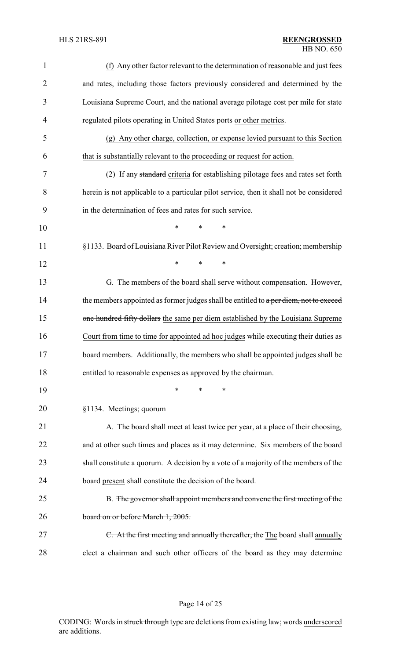| 1              | (f) Any other factor relevant to the determination of reasonable and just fees          |
|----------------|-----------------------------------------------------------------------------------------|
| $\overline{2}$ | and rates, including those factors previously considered and determined by the          |
| 3              | Louisiana Supreme Court, and the national average pilotage cost per mile for state      |
| 4              | regulated pilots operating in United States ports or other metrics.                     |
| 5              | (g) Any other charge, collection, or expense levied pursuant to this Section            |
| 6              | that is substantially relevant to the proceeding or request for action.                 |
| 7              | (2) If any standard criteria for establishing pilotage fees and rates set forth         |
| 8              | herein is not applicable to a particular pilot service, then it shall not be considered |
| 9              | in the determination of fees and rates for such service.                                |
| 10             | $\ast$<br>*<br>$\ast$                                                                   |
| 11             | §1133. Board of Louisiana River Pilot Review and Oversight; creation; membership        |
| 12             | *<br>*<br>$\ast$                                                                        |
| 13             | G. The members of the board shall serve without compensation. However,                  |
| 14             | the members appointed as former judges shall be entitled to a per diem, not to exceed   |
| 15             | one hundred fifty dollars the same per diem established by the Louisiana Supreme        |
| 16             | Court from time to time for appointed ad hoc judges while executing their duties as     |
| 17             | board members. Additionally, the members who shall be appointed judges shall be         |
| 18             | entitled to reasonable expenses as approved by the chairman.                            |
| 19             | *<br>*<br>∗                                                                             |
| 20             | §1134. Meetings; quorum                                                                 |
| 21             | A. The board shall meet at least twice per year, at a place of their choosing,          |
| 22             | and at other such times and places as it may determine. Six members of the board        |
| 23             | shall constitute a quorum. A decision by a vote of a majority of the members of the     |
| 24             | board present shall constitute the decision of the board.                               |
| 25             | B. The governor shall appoint members and convene the first meeting of the              |
| 26             | board on or before March 1, 2005.                                                       |
| 27             | C. At the first meeting and annually thereafter, the The board shall annually           |
| 28             | elect a chairman and such other officers of the board as they may determine             |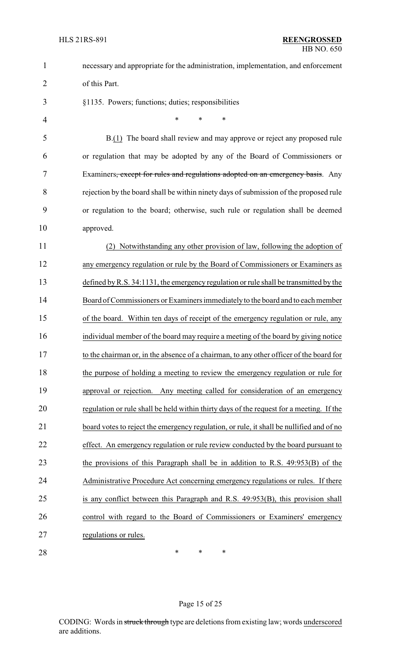| $\mathbf{1}$   | necessary and appropriate for the administration, implementation, and enforcement        |  |  |
|----------------|------------------------------------------------------------------------------------------|--|--|
| $\overline{2}$ | of this Part.                                                                            |  |  |
| 3              | §1135. Powers; functions; duties; responsibilities                                       |  |  |
| 4              | $\ast$<br>*<br>$\ast$                                                                    |  |  |
| 5              | B.(1) The board shall review and may approve or reject any proposed rule                 |  |  |
| 6              | or regulation that may be adopted by any of the Board of Commissioners or                |  |  |
| 7              | Examiners, except for rules and regulations adopted on an emergency basis. Any           |  |  |
| 8              | rejection by the board shall be within ninety days of submission of the proposed rule    |  |  |
| 9              | or regulation to the board; otherwise, such rule or regulation shall be deemed           |  |  |
| 10             | approved.                                                                                |  |  |
| 11             | Notwithstanding any other provision of law, following the adoption of                    |  |  |
| 12             | any emergency regulation or rule by the Board of Commissioners or Examiners as           |  |  |
| 13             | defined by R.S. 34:1131, the emergency regulation or rule shall be transmitted by the    |  |  |
| 14             | Board of Commissioners or Examiners immediately to the board and to each member          |  |  |
| 15             | of the board. Within ten days of receipt of the emergency regulation or rule, any        |  |  |
| 16             | individual member of the board may require a meeting of the board by giving notice       |  |  |
| 17             | to the chairman or, in the absence of a chairman, to any other officer of the board for  |  |  |
| 18             | the purpose of holding a meeting to review the emergency regulation or rule for          |  |  |
| 19             | approval or rejection. Any meeting called for consideration of an emergency              |  |  |
| 20             | regulation or rule shall be held within thirty days of the request for a meeting. If the |  |  |
| 21             | board votes to reject the emergency regulation, or rule, it shall be nullified and of no |  |  |
| 22             | effect. An emergency regulation or rule review conducted by the board pursuant to        |  |  |
| 23             | the provisions of this Paragraph shall be in addition to R.S. 49:953(B) of the           |  |  |
| 24             | Administrative Procedure Act concerning emergency regulations or rules. If there         |  |  |
| 25             | is any conflict between this Paragraph and R.S. 49:953(B), this provision shall          |  |  |
| 26             | control with regard to the Board of Commissioners or Examiners' emergency                |  |  |
| 27             | regulations or rules.                                                                    |  |  |
| 28             | ∗<br>$\ast$<br>∗                                                                         |  |  |
|                |                                                                                          |  |  |
|                |                                                                                          |  |  |

# Page 15 of 25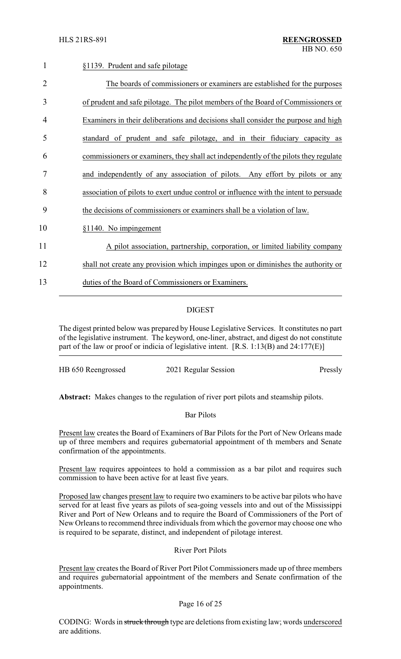| 1              | §1139. Prudent and safe pilotage                                                      |
|----------------|---------------------------------------------------------------------------------------|
| $\overline{2}$ | The boards of commissioners or examiners are established for the purposes             |
| 3              | of prudent and safe pilotage. The pilot members of the Board of Commissioners or      |
| 4              | Examiners in their deliberations and decisions shall consider the purpose and high    |
| 5              | standard of prudent and safe pilotage, and in their fiduciary capacity as             |
| 6              | commissioners or examiners, they shall act independently of the pilots they regulate  |
| 7              | and independently of any association of pilots. Any effort by pilots or any           |
| 8              | association of pilots to exert undue control or influence with the intent to persuade |
| 9              | the decisions of commissioners or examiners shall be a violation of law.              |
| 10             | §1140. No impingement                                                                 |
| 11             | A pilot association, partnership, corporation, or limited liability company           |
| 12             | shall not create any provision which impinges upon or diminishes the authority or     |
| 13             | duties of the Board of Commissioners or Examiners.                                    |
|                |                                                                                       |

## DIGEST

The digest printed below was prepared by House Legislative Services. It constitutes no part of the legislative instrument. The keyword, one-liner, abstract, and digest do not constitute part of the law or proof or indicia of legislative intent. [R.S. 1:13(B) and 24:177(E)]

| HB 650 Reengrossed | 2021 Regular Session | Pressly |
|--------------------|----------------------|---------|

**Abstract:** Makes changes to the regulation of river port pilots and steamship pilots.

#### Bar Pilots

Present law creates the Board of Examiners of Bar Pilots for the Port of New Orleans made up of three members and requires gubernatorial appointment of th members and Senate confirmation of the appointments.

Present law requires appointees to hold a commission as a bar pilot and requires such commission to have been active for at least five years.

Proposed law changes present law to require two examiners to be active bar pilots who have served for at least five years as pilots of sea-going vessels into and out of the Mississippi River and Port of New Orleans and to require the Board of Commissioners of the Port of New Orleans to recommend three individuals from which the governor may choose one who is required to be separate, distinct, and independent of pilotage interest.

#### River Port Pilots

Present law creates the Board of River Port Pilot Commissioners made up of three members and requires gubernatorial appointment of the members and Senate confirmation of the appointments.

#### Page 16 of 25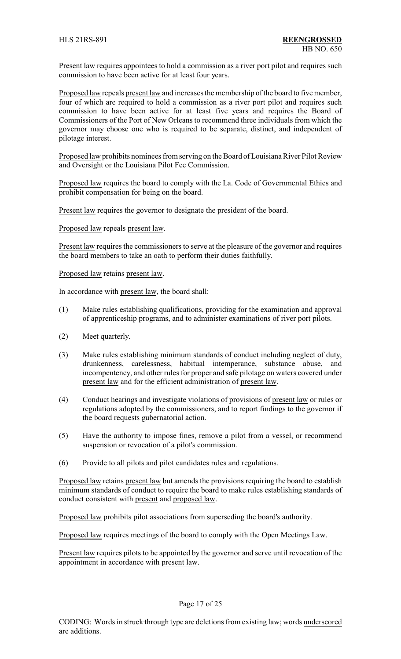Present law requires appointees to hold a commission as a river port pilot and requires such commission to have been active for at least four years.

Proposed law repeals present law and increases the membership of the board to five member, four of which are required to hold a commission as a river port pilot and requires such commission to have been active for at least five years and requires the Board of Commissioners of the Port of New Orleans to recommend three individuals from which the governor may choose one who is required to be separate, distinct, and independent of pilotage interest.

Proposed law prohibits nominees from serving on the Board of Louisiana River Pilot Review and Oversight or the Louisiana Pilot Fee Commission.

Proposed law requires the board to comply with the La. Code of Governmental Ethics and prohibit compensation for being on the board.

Present law requires the governor to designate the president of the board.

Proposed law repeals present law.

Present law requires the commissioners to serve at the pleasure of the governor and requires the board members to take an oath to perform their duties faithfully.

Proposed law retains present law.

In accordance with present law, the board shall:

- (1) Make rules establishing qualifications, providing for the examination and approval of apprenticeship programs, and to administer examinations of river port pilots.
- (2) Meet quarterly.
- (3) Make rules establishing minimum standards of conduct including neglect of duty, drunkenness, carelessness, habitual intemperance, substance abuse, and incompentency, and other rules for proper and safe pilotage on waters covered under present law and for the efficient administration of present law.
- (4) Conduct hearings and investigate violations of provisions of present law or rules or regulations adopted by the commissioners, and to report findings to the governor if the board requests gubernatorial action.
- (5) Have the authority to impose fines, remove a pilot from a vessel, or recommend suspension or revocation of a pilot's commission.
- (6) Provide to all pilots and pilot candidates rules and regulations.

Proposed law retains present law but amends the provisions requiring the board to establish minimum standards of conduct to require the board to make rules establishing standards of conduct consistent with present and proposed law.

Proposed law prohibits pilot associations from superseding the board's authority.

Proposed law requires meetings of the board to comply with the Open Meetings Law.

Present law requires pilots to be appointed by the governor and serve until revocation of the appointment in accordance with present law.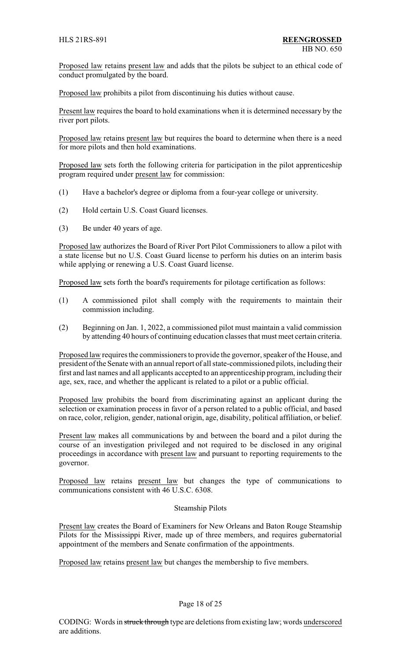Proposed law retains present law and adds that the pilots be subject to an ethical code of conduct promulgated by the board.

Proposed law prohibits a pilot from discontinuing his duties without cause.

Present law requires the board to hold examinations when it is determined necessary by the river port pilots.

Proposed law retains present law but requires the board to determine when there is a need for more pilots and then hold examinations.

Proposed law sets forth the following criteria for participation in the pilot apprenticeship program required under present law for commission:

- (1) Have a bachelor's degree or diploma from a four-year college or university.
- (2) Hold certain U.S. Coast Guard licenses.
- (3) Be under 40 years of age.

Proposed law authorizes the Board of River Port Pilot Commissioners to allow a pilot with a state license but no U.S. Coast Guard license to perform his duties on an interim basis while applying or renewing a U.S. Coast Guard license.

Proposed law sets forth the board's requirements for pilotage certification as follows:

- (1) A commissioned pilot shall comply with the requirements to maintain their commission including.
- (2) Beginning on Jan. 1, 2022, a commissioned pilot must maintain a valid commission by attending 40 hours of continuing education classes that must meet certain criteria.

Proposed law requires the commissioners to provide the governor, speaker of the House, and president of the Senate with an annual report of all state-commissioned pilots, including their first and last names and all applicants accepted to an apprenticeship program, including their age, sex, race, and whether the applicant is related to a pilot or a public official.

Proposed law prohibits the board from discriminating against an applicant during the selection or examination process in favor of a person related to a public official, and based on race, color, religion, gender, national origin, age, disability, political affiliation, or belief.

Present law makes all communications by and between the board and a pilot during the course of an investigation privileged and not required to be disclosed in any original proceedings in accordance with present law and pursuant to reporting requirements to the governor.

Proposed law retains present law but changes the type of communications to communications consistent with 46 U.S.C. 6308.

#### Steamship Pilots

Present law creates the Board of Examiners for New Orleans and Baton Rouge Steamship Pilots for the Mississippi River, made up of three members, and requires gubernatorial appointment of the members and Senate confirmation of the appointments.

Proposed law retains present law but changes the membership to five members.

#### Page 18 of 25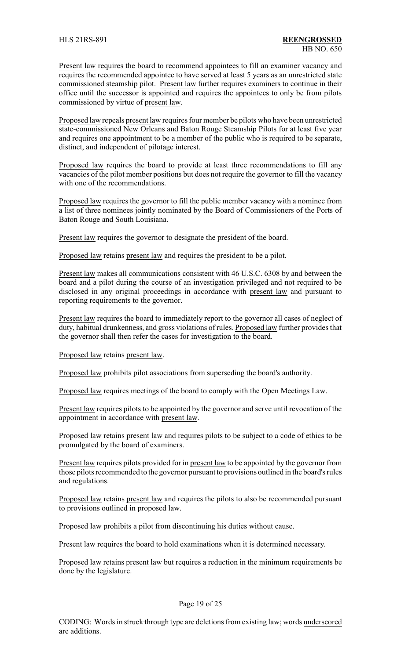Present law requires the board to recommend appointees to fill an examiner vacancy and requires the recommended appointee to have served at least 5 years as an unrestricted state commissioned steamship pilot. Present law further requires examiners to continue in their office until the successor is appointed and requires the appointees to only be from pilots commissioned by virtue of present law.

Proposed law repeals present law requires four member be pilots who have been unrestricted state-commissioned New Orleans and Baton Rouge Steamship Pilots for at least five year and requires one appointment to be a member of the public who is required to be separate, distinct, and independent of pilotage interest.

Proposed law requires the board to provide at least three recommendations to fill any vacancies of the pilot member positions but does not require the governor to fill the vacancy with one of the recommendations.

Proposed law requires the governor to fill the public member vacancy with a nominee from a list of three nominees jointly nominated by the Board of Commissioners of the Ports of Baton Rouge and South Louisiana.

Present law requires the governor to designate the president of the board.

Proposed law retains present law and requires the president to be a pilot.

Present law makes all communications consistent with 46 U.S.C. 6308 by and between the board and a pilot during the course of an investigation privileged and not required to be disclosed in any original proceedings in accordance with present law and pursuant to reporting requirements to the governor.

Present law requires the board to immediately report to the governor all cases of neglect of duty, habitual drunkenness, and gross violations of rules. Proposed law further provides that the governor shall then refer the cases for investigation to the board.

Proposed law retains present law.

Proposed law prohibits pilot associations from superseding the board's authority.

Proposed law requires meetings of the board to comply with the Open Meetings Law.

Present law requires pilots to be appointed by the governor and serve until revocation of the appointment in accordance with present law.

Proposed law retains present law and requires pilots to be subject to a code of ethics to be promulgated by the board of examiners.

Present law requires pilots provided for in present law to be appointed by the governor from those pilots recommended to the governor pursuant to provisions outlined in the board's rules and regulations.

Proposed law retains present law and requires the pilots to also be recommended pursuant to provisions outlined in proposed law.

Proposed law prohibits a pilot from discontinuing his duties without cause.

Present law requires the board to hold examinations when it is determined necessary.

Proposed law retains present law but requires a reduction in the minimum requirements be done by the legislature.

#### Page 19 of 25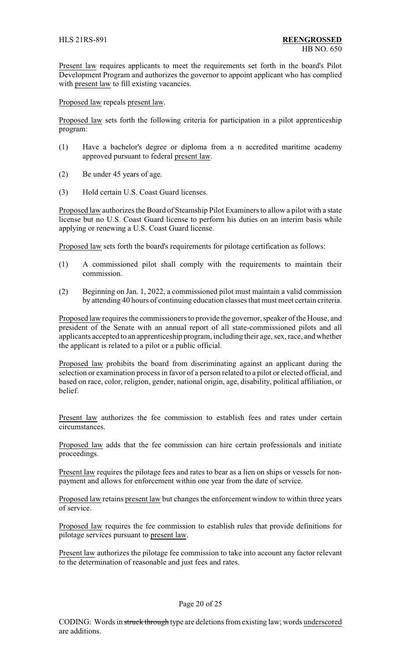Present law requires applicants to meet the requirements set forth in the board's Pilot Development Program and authorizes the governor to appoint applicant who has complied with present law to fill existing vacancies.

Proposed law repeals present law.

Proposed law sets forth the following criteria for participation in a pilot apprenticeship program:

- (1) Have a bachelor's degree or diploma from a n accredited maritime academy approved pursuant to federal present law.
- (2) Be under 45 years of age.
- (3) Hold certain U.S. Coast Guard licenses.

Proposed law authorizes the Board of Steamship Pilot Examiners to allow a pilot with a state license but no U.S. Coast Guard license to perform his duties on an interim basis while applying or renewing a U.S. Coast Guard license.

Proposed law sets forth the board's requirements for pilotage certification as follows:

- (1) A commissioned pilot shall comply with the requirements to maintain their commission.
- (2) Beginning on Jan. 1, 2022, a commissioned pilot must maintain a valid commission by attending 40 hours of continuing education classes that must meet certain criteria.

Proposed law requires the commissioners to provide the governor, speaker of the House, and president of the Senate with an annual report of all state-commissioned pilots and all applicants accepted to an apprenticeship program, including their age, sex, race, and whether the applicant is related to a pilot or a public official.

Proposed law prohibits the board from discriminating against an applicant during the selection or examination process in favor of a person related to a pilot or elected official, and based on race, color, religion, gender, national origin, age, disability, political affiliation, or belief.

Present law authorizes the fee commission to establish fees and rates under certain circumstances.

Proposed law adds that the fee commission can hire certain professionals and initiate proceedings.

Present law requires the pilotage fees and rates to bear as a lien on ships or vessels for nonpayment and allows for enforcement within one year from the date of service.

Proposed law retains present law but changes the enforcement window to within three years of service.

Proposed law requires the fee commission to establish rules that provide definitions for pilotage services pursuant to present law.

Present law authorizes the pilotage fee commission to take into account any factor relevant to the determination of reasonable and just fees and rates.

#### Page 20 of 25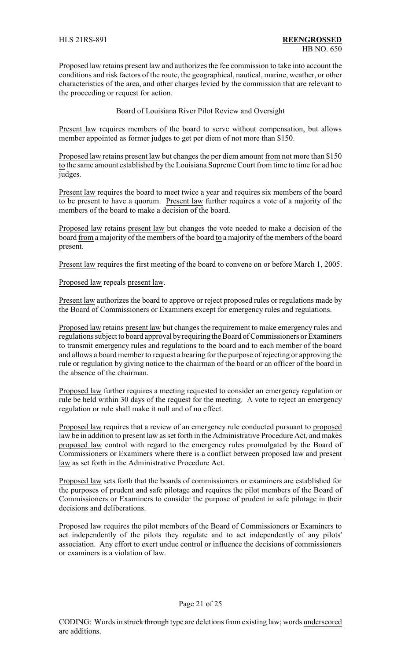Proposed law retains present law and authorizes the fee commission to take into account the conditions and risk factors of the route, the geographical, nautical, marine, weather, or other characteristics of the area, and other charges levied by the commission that are relevant to the proceeding or request for action.

Board of Louisiana River Pilot Review and Oversight

Present law requires members of the board to serve without compensation, but allows member appointed as former judges to get per diem of not more than \$150.

Proposed law retains present law but changes the per diem amount from not more than \$150 to the same amount established by the Louisiana Supreme Court from time to time for ad hoc judges.

Present law requires the board to meet twice a year and requires six members of the board to be present to have a quorum. Present law further requires a vote of a majority of the members of the board to make a decision of the board.

Proposed law retains present law but changes the vote needed to make a decision of the board from a majority of the members of the board to a majority of the members of the board present.

Present law requires the first meeting of the board to convene on or before March 1, 2005.

Proposed law repeals present law.

Present law authorizes the board to approve or reject proposed rules or regulations made by the Board of Commissioners or Examiners except for emergency rules and regulations.

Proposed law retains present law but changes the requirement to make emergency rules and regulations subject to board approval byrequiring the Board of Commissioners or Examiners to transmit emergency rules and regulations to the board and to each member of the board and allows a board member to request a hearing for the purpose of rejecting or approving the rule or regulation by giving notice to the chairman of the board or an officer of the board in the absence of the chairman.

Proposed law further requires a meeting requested to consider an emergency regulation or rule be held within 30 days of the request for the meeting. A vote to reject an emergency regulation or rule shall make it null and of no effect.

Proposed law requires that a review of an emergency rule conducted pursuant to proposed law be in addition to present law as set forth in the Administrative Procedure Act, and makes proposed law control with regard to the emergency rules promulgated by the Board of Commissioners or Examiners where there is a conflict between proposed law and present law as set forth in the Administrative Procedure Act.

Proposed law sets forth that the boards of commissioners or examiners are established for the purposes of prudent and safe pilotage and requires the pilot members of the Board of Commissioners or Examiners to consider the purpose of prudent in safe pilotage in their decisions and deliberations.

Proposed law requires the pilot members of the Board of Commissioners or Examiners to act independently of the pilots they regulate and to act independently of any pilots' association. Any effort to exert undue control or influence the decisions of commissioners or examiners is a violation of law.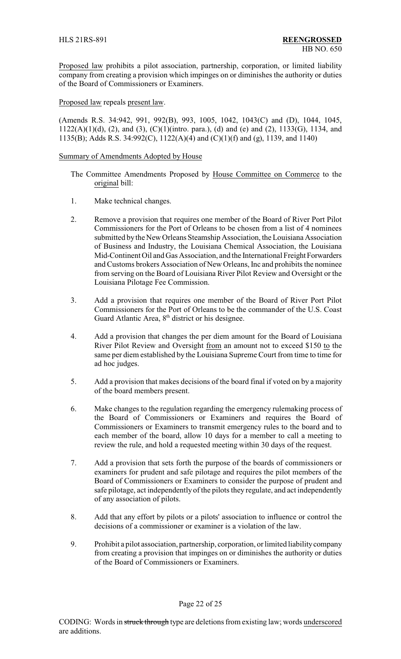Proposed law prohibits a pilot association, partnership, corporation, or limited liability company from creating a provision which impinges on or diminishes the authority or duties of the Board of Commissioners or Examiners.

Proposed law repeals present law.

(Amends R.S. 34:942, 991, 992(B), 993, 1005, 1042, 1043(C) and (D), 1044, 1045, 1122(A)(1)(d), (2), and (3), (C)(1)(intro. para.), (d) and (e) and (2), 1133(G), 1134, and 1135(B); Adds R.S. 34:992(C), 1122(A)(4) and (C)(1)(f) and (g), 1139, and 1140)

#### Summary of Amendments Adopted by House

- The Committee Amendments Proposed by House Committee on Commerce to the original bill:
- 1. Make technical changes.
- 2. Remove a provision that requires one member of the Board of River Port Pilot Commissioners for the Port of Orleans to be chosen from a list of 4 nominees submitted bythe New Orleans Steamship Association, the Louisiana Association of Business and Industry, the Louisiana Chemical Association, the Louisiana Mid-Continent Oil and Gas Association, and the International Freight Forwarders and Customs brokers Association of New Orleans, Inc and prohibits the nominee from serving on the Board of Louisiana River Pilot Review and Oversight or the Louisiana Pilotage Fee Commission.
- 3. Add a provision that requires one member of the Board of River Port Pilot Commissioners for the Port of Orleans to be the commander of the U.S. Coast Guard Atlantic Area, 8<sup>th</sup> district or his designee.
- 4. Add a provision that changes the per diem amount for the Board of Louisiana River Pilot Review and Oversight from an amount not to exceed \$150 to the same per diem established by the Louisiana Supreme Court from time to time for ad hoc judges.
- 5. Add a provision that makes decisions of the board final if voted on by a majority of the board members present.
- 6. Make changes to the regulation regarding the emergency rulemaking process of the Board of Commissioners or Examiners and requires the Board of Commissioners or Examiners to transmit emergency rules to the board and to each member of the board, allow 10 days for a member to call a meeting to review the rule, and hold a requested meeting within 30 days of the request.
- 7. Add a provision that sets forth the purpose of the boards of commissioners or examiners for prudent and safe pilotage and requires the pilot members of the Board of Commissioners or Examiners to consider the purpose of prudent and safe pilotage, act independently of the pilots they regulate, and act independently of any association of pilots.
- 8. Add that any effort by pilots or a pilots' association to influence or control the decisions of a commissioner or examiner is a violation of the law.
- 9. Prohibit a pilot association, partnership, corporation, or limited liabilitycompany from creating a provision that impinges on or diminishes the authority or duties of the Board of Commissioners or Examiners.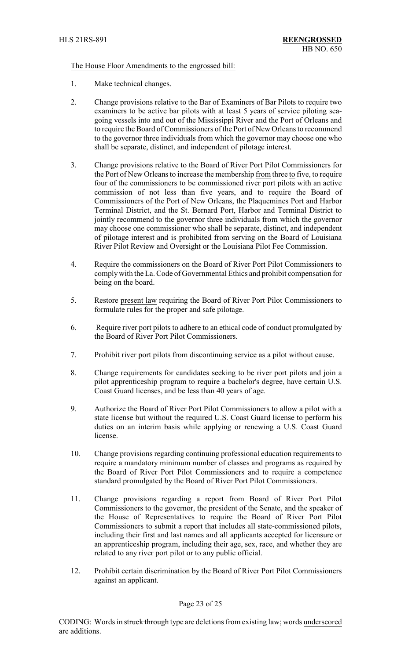#### The House Floor Amendments to the engrossed bill:

- 1. Make technical changes.
- 2. Change provisions relative to the Bar of Examiners of Bar Pilots to require two examiners to be active bar pilots with at least 5 years of service piloting seagoing vessels into and out of the Mississippi River and the Port of Orleans and to require the Board of Commissioners of the Port of New Orleans to recommend to the governor three individuals from which the governor may choose one who shall be separate, distinct, and independent of pilotage interest.
- 3. Change provisions relative to the Board of River Port Pilot Commissioners for the Port of New Orleans to increase the membership from three to five, to require four of the commissioners to be commissioned river port pilots with an active commission of not less than five years, and to require the Board of Commissioners of the Port of New Orleans, the Plaquemines Port and Harbor Terminal District, and the St. Bernard Port, Harbor and Terminal District to jointly recommend to the governor three individuals from which the governor may choose one commissioner who shall be separate, distinct, and independent of pilotage interest and is prohibited from serving on the Board of Louisiana River Pilot Review and Oversight or the Louisiana Pilot Fee Commission.
- 4. Require the commissioners on the Board of River Port Pilot Commissioners to complywith the La. Code of Governmental Ethics and prohibit compensation for being on the board.
- 5. Restore present law requiring the Board of River Port Pilot Commissioners to formulate rules for the proper and safe pilotage.
- 6. Require river port pilots to adhere to an ethical code of conduct promulgated by the Board of River Port Pilot Commissioners.
- 7. Prohibit river port pilots from discontinuing service as a pilot without cause.
- 8. Change requirements for candidates seeking to be river port pilots and join a pilot apprenticeship program to require a bachelor's degree, have certain U.S. Coast Guard licenses, and be less than 40 years of age.
- 9. Authorize the Board of River Port Pilot Commissioners to allow a pilot with a state license but without the required U.S. Coast Guard license to perform his duties on an interim basis while applying or renewing a U.S. Coast Guard license.
- 10. Change provisions regarding continuing professional education requirements to require a mandatory minimum number of classes and programs as required by the Board of River Port Pilot Commissioners and to require a competence standard promulgated by the Board of River Port Pilot Commissioners.
- 11. Change provisions regarding a report from Board of River Port Pilot Commissioners to the governor, the president of the Senate, and the speaker of the House of Representatives to require the Board of River Port Pilot Commissioners to submit a report that includes all state-commissioned pilots, including their first and last names and all applicants accepted for licensure or an apprenticeship program, including their age, sex, race, and whether they are related to any river port pilot or to any public official.
- 12. Prohibit certain discrimination by the Board of River Port Pilot Commissioners against an applicant.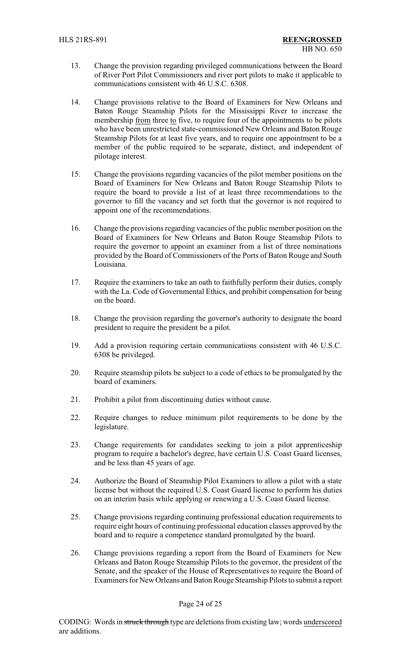- 13. Change the provision regarding privileged communications between the Board of River Port Pilot Commissioners and river port pilots to make it applicable to communications consistent with 46 U.S.C. 6308.
- 14. Change provisions relative to the Board of Examiners for New Orleans and Baton Rouge Steamship Pilots for the Mississippi River to increase the membership from three to five, to require four of the appointments to be pilots who have been unrestricted state-commissioned New Orleans and Baton Rouge Steamship Pilots for at least five years, and to require one appointment to be a member of the public required to be separate, distinct, and independent of pilotage interest.
- 15. Change the provisions regarding vacancies of the pilot member positions on the Board of Examiners for New Orleans and Baton Rouge Steamship Pilots to require the board to provide a list of at least three recommendations to the governor to fill the vacancy and set forth that the governor is not required to appoint one of the recommendations.
- 16. Change the provisions regarding vacancies of the public member position on the Board of Examiners for New Orleans and Baton Rouge Steamship Pilots to require the governor to appoint an examiner from a list of three nominations provided by the Board of Commissioners of the Ports of Baton Rouge and South Louisiana.
- 17. Require the examiners to take an oath to faithfully perform their duties, comply with the La. Code of Governmental Ethics, and prohibit compensation for being on the board.
- 18. Change the provision regarding the governor's authority to designate the board president to require the president be a pilot.
- 19. Add a provision requiring certain communications consistent with 46 U.S.C. 6308 be privileged.
- 20. Require steamship pilots be subject to a code of ethics to be promulgated by the board of examiners.
- 21. Prohibit a pilot from discontinuing duties without cause.
- 22. Require changes to reduce minimum pilot requirements to be done by the legislature.
- 23. Change requirements for candidates seeking to join a pilot apprenticeship program to require a bachelor's degree, have certain U.S. Coast Guard licenses, and be less than 45 years of age.
- 24. Authorize the Board of Steamship Pilot Examiners to allow a pilot with a state license but without the required U.S. Coast Guard license to perform his duties on an interim basis while applying or renewing a U.S. Coast Guard license.
- 25. Change provisions regarding continuing professional education requirements to require eight hours of continuing professional education classes approved by the board and to require a competence standard promulgated by the board.
- 26. Change provisions regarding a report from the Board of Examiners for New Orleans and Baton Rouge Steamship Pilots to the governor, the president of the Senate, and the speaker of the House of Representatives to require the Board of Examiners for New Orleans and Baton Rouge Steamship Pilots to submit a report